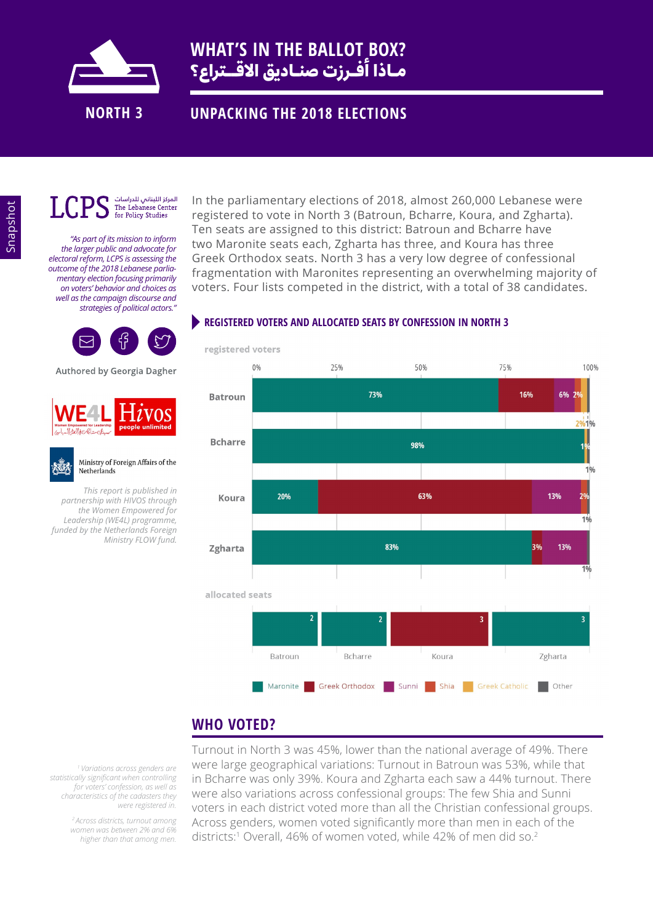

### **UNPACKING THE 2018 ELECTIONS**



#### المركز اللبناني للدراسات The Lebanese Center for Policy Studies

*"As part of its mission to inform the larger public and advocate for electoral reform, LCPS is assessing the outcome of the 2018 Lebanese parliamentary election focusing primarily on voters' behavior and choices as well as the campaign discourse and strategies of political actors."* 



Authored by Georgia Dagher



#### Ministry of Foreign Affairs of the Netherlands

*This report is published in partnership with HIVOS through the Women Empowered for Leadership (WE4L) programme, funded by the Netherlands Foreign Ministry FLOW fund.* In the parliamentary elections of 2018, almost 260,000 Lebanese were registered to vote in North 3 (Batroun, Bcharre, Koura, and Zgharta). Ten seats are assigned to this district: Batroun and Bcharre have two Maronite seats each, Zgharta has three, and Koura has three Greek Orthodox seats. North 3 has a very low degree of confessional fragmentation with Maronites representing an overwhelming majority of voters. Four lists competed in the district, with a total of 38 candidates.

#### **REGISTERED VOTERS AND ALLOCATED SEATS BY CONFESSION IN NORTH 3**



## **WHO VOTED?**

*1 Variations across genders are statistically significant when controlling for voters' confession, as well as characteristics of the cadasters they were registered in.* 

> *2 Across districts, turnout among women was between 2% and 6% higher than that among men.*

Turnout in North 3 was 45%, lower than the national average of 49%. There were large geographical variations: Turnout in Batroun was 53%, while that in Bcharre was only 39%. Koura and Zgharta each saw a 44% turnout. There were also variations across confessional groups: The few Shia and Sunni voters in each district voted more than all the Christian confessional groups. Across genders, women voted significantly more than men in each of the districts:<sup>1</sup> Overall, 46% of women voted, while 42% of men did so.<sup>2</sup>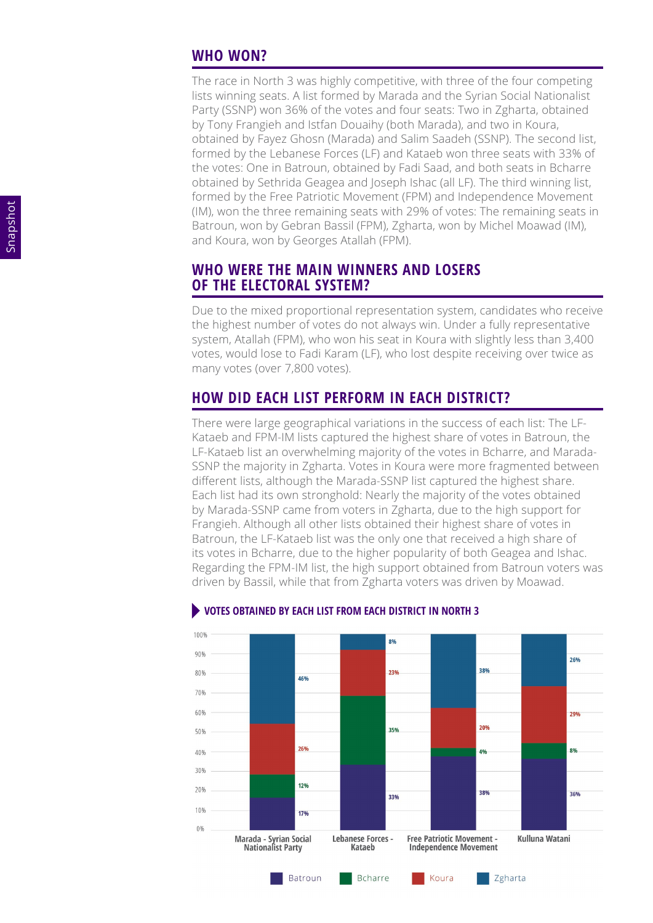#### **WHO WON?**

The race in North 3 was highly competitive, with three of the four competing lists winning seats. A list formed by Marada and the Syrian Social Nationalist Party (SSNP) won 36% of the votes and four seats: Two in Zgharta, obtained by Tony Frangieh and Istfan Douaihy (both Marada), and two in Koura, obtained by Fayez Ghosn (Marada) and Salim Saadeh (SSNP). The second list, formed by the Lebanese Forces (LF) and Kataeb won three seats with 33% of the votes: One in Batroun, obtained by Fadi Saad, and both seats in Bcharre obtained by Sethrida Geagea and Joseph Ishac (all LF). The third winning list, formed by the Free Patriotic Movement (FPM) and Independence Movement (IM), won the three remaining seats with 29% of votes: The remaining seats in Batroun, won by Gebran Bassil (FPM), Zgharta, won by Michel Moawad (IM), and Koura, won by Georges Atallah (FPM).

#### **WHO WERE THE MAIN WINNERS AND LOSERS OF THE ELECTORAL SYSTEM?**

Due to the mixed proportional representation system, candidates who receive the highest number of votes do not always win. Under a fully representative system, Atallah (FPM), who won his seat in Koura with slightly less than 3,400 votes, would lose to Fadi Karam (LF), who lost despite receiving over twice as many votes (over 7,800 votes).

### **HOW DID EACH LIST PERFORM IN EACH DISTRICT?**

There were large geographical variations in the success of each list: The LF-Kataeb and FPM-IM lists captured the highest share of votes in Batroun, the LF-Kataeb list an overwhelming majority of the votes in Bcharre, and Marada-SSNP the majority in Zgharta. Votes in Koura were more fragmented between different lists, although the Marada-SSNP list captured the highest share. Each list had its own stronghold: Nearly the majority of the votes obtained by Marada-SSNP came from voters in Zgharta, due to the high support for Frangieh. Although all other lists obtained their highest share of votes in Batroun, the LF-Kataeb list was the only one that received a high share of its votes in Bcharre, due to the higher popularity of both Geagea and Ishac. Regarding the FPM-IM list, the high support obtained from Batroun voters was driven by Bassil, while that from Zgharta voters was driven by Moawad.



#### **VOTES OBTAINED BY EACH LIST FROM EACH DISTRICT IN NORTH 3**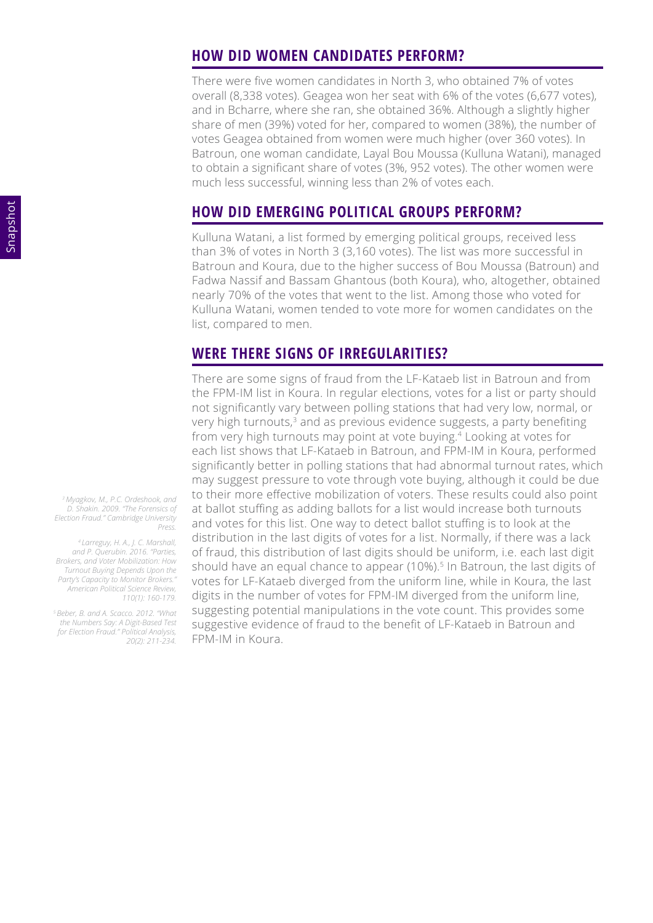#### **HOW DID WOMEN CANDIDATES PERFORM?**

There were five women candidates in North 3, who obtained 7% of votes overall (8,338 votes). Geagea won her seat with 6% of the votes (6,677 votes), and in Bcharre, where she ran, she obtained 36%. Although a slightly higher share of men (39%) voted for her, compared to women (38%), the number of votes Geagea obtained from women were much higher (over 360 votes). In Batroun, one woman candidate, Layal Bou Moussa (Kulluna Watani), managed to obtain a significant share of votes (3%, 952 votes). The other women were much less successful, winning less than 2% of votes each.

## **HOW DID EMERGING POLITICAL GROUPS PERFORM?**

Kulluna Watani, a list formed by emerging political groups, received less than 3% of votes in North 3 (3,160 votes). The list was more successful in Batroun and Koura, due to the higher success of Bou Moussa (Batroun) and Fadwa Nassif and Bassam Ghantous (both Koura), who, altogether, obtained nearly 70% of the votes that went to the list. Among those who voted for Kulluna Watani, women tended to vote more for women candidates on the list, compared to men.

### **WERE THERE SIGNS OF IRREGULARITIES?**

There are some signs of fraud from the LF-Kataeb list in Batroun and from the FPM-IM list in Koura. In regular elections, votes for a list or party should not significantly vary between polling stations that had very low, normal, or very high turnouts, $3$  and as previous evidence suggests, a party benefiting from very high turnouts may point at vote buying.4 Looking at votes for each list shows that LF-Kataeb in Batroun, and FPM-IM in Koura, performed significantly better in polling stations that had abnormal turnout rates, which may suggest pressure to vote through vote buying, although it could be due to their more effective mobilization of voters. These results could also point at ballot stuffing as adding ballots for a list would increase both turnouts and votes for this list. One way to detect ballot stuffing is to look at the distribution in the last digits of votes for a list. Normally, if there was a lack of fraud, this distribution of last digits should be uniform, i.e. each last digit should have an equal chance to appear (10%).<sup>5</sup> In Batroun, the last digits of votes for LF-Kataeb diverged from the uniform line, while in Koura, the last digits in the number of votes for FPM-IM diverged from the uniform line, suggesting potential manipulations in the vote count. This provides some suggestive evidence of fraud to the benefit of LF-Kataeb in Batroun and FPM-IM in Koura.

*<sup>3</sup>Myagkov, M., P.C. Ordeshook, and D. Shakin. 2009. "The Forensics of Election Fraud." Cambridge University Press.*

*<sup>4</sup>Larreguy, H. A., J. C. Marshall, and P. Querubin. 2016. "Parties, Brokers, and Voter Mobilization: How Turnout Buying Depends Upon the Party's Capacity to Monitor Brokers." American Political Science Review, 110(1): 160-179.*

*<sup>5</sup>Beber, B. and A. Scacco. 2012. "What the Numbers Say: A Digit-Based Test for Election Fraud." Political Analysis, 20(2): 211-234.*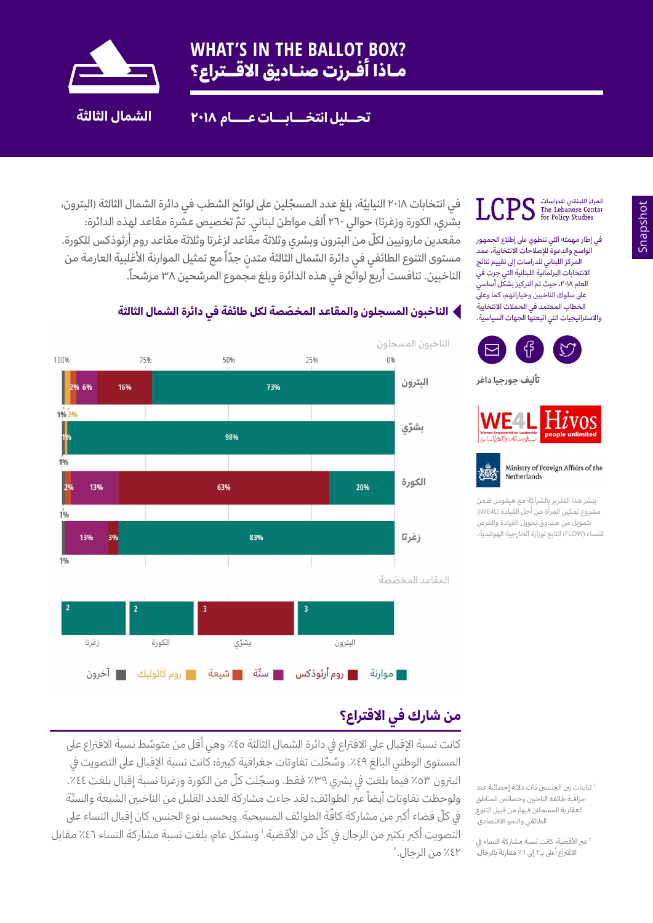

 **تحــليل انتخـــابـــات عــــام ٢٠١٨ الشمال الثالثة**

المركز اللبناني للدراسات<br>The Lebanese Center The Lebanese Center The Lebanese Cent

في إطار مهمته التي تنطوي عىل إطالع الجمهور الواسع والدعوة للإصلاحات الانتخابية، عمد المركز اللبناني للدراسات إىل تقييم نتائج االنتخابات البرلمانية اللبنانية التي جرت في العام ٢٠١٨، حيث تم التركيز بشكّل أساسي عىل سلوك الناخبين وخياراتهم، كما وعىل الخطاب المعتمد في الحملات الانتخابية .<br>والاستراتيجيات التي اتبعتها الجهات السياسية.



 **تأليف جورجيا داغر**





ينشر هذا التقرير بالشراكة مع هيفوس ضمن مشروع تمكين المرأة من أجل القيادة (WE4L)، بتمويل من صندوق تمويل القيادة والفرص للنساء )FLOW )التابع لوزارة الخارجية الهولندية.

في انتخابات ٢٠١٨ النيابيّة، بلغ عدد المسجّلين على لوائح الشطب في دائرة الشمال الثالثة (البترون، بشري، الكورة وزغرتا**(** حوالي 260 ّ ألف مواطن لبناني. تم تخصيص عشرة مقاعد لهذه الدائرة**:** مقعدين مارونيين لكلّ من البترون وبشري وثلاثة مقاعد لزغرتا وثلاثة مقاعد روم أرثوذكس للكورة. مستوى التنوع الطائفي في دائرة الشمال الثالثة متدنٍ جدّاً مع تمثيل الموارنة الأغلبية العارمة من . الناخبين. تنافست أربع لوائح في هذه الدائرة وبلغ مجموع المرشحين 38 مرشحا ً

#### **َ الناخبون المسجلون والمقاعد المخصصة لكل طائفة في دائرة الشمال الثالثة**



## **من شارك في االقتراع؟**

كانت نسبة الإقبال على الاقتراع في دائرة الشمال الثالثة ٤٥٪ وهي أقل من متوسّط نسبة الاقتراع على المستوى الوطني البالغ ٤٩٪. وسُجّلت تفاوتات جغرافية كبيرة**:** كانت نسبة الإقبال على التصويت في البترون ٥٣٪ فيما بلغت في بشري ٣٩٪ فقط. وسجّلت كلّ من الكورة وزغرتا نسبة إقبال بلغت ٤٤٪. ولوحظت تفاوتات أيضاً عبر الطوائف**:** لقد جاءت مشاركة العدد القليل من الناخبين الشيعة والسنّة في كلّ قضاء أكبر من مشاركة كافّة الطوائف المسيحية. وبحسب نوع الجنس، كان إقبال النساء على التصويت أكبر بكثير من الرجال في كلّ من الأقضية.' وبشكل عام، بلغت نسبة مشاركة النساء ٤٦٪ مقابل 2 %42 من الرجال.

1 تباينات بني الجنسني ذات داللة إحصائية عند مراقبة طائفة الناخبني وخصائص المناطق العقارية المسجلني فيها، من قبيل التنوع الطائفي والنمو الاقتصادي.

2 عرب األقضية، كانت نسبة مشاركة النساء يف الاقتراع أعلى بـ٢ إلى ٦٪ مقارنة بالرجال.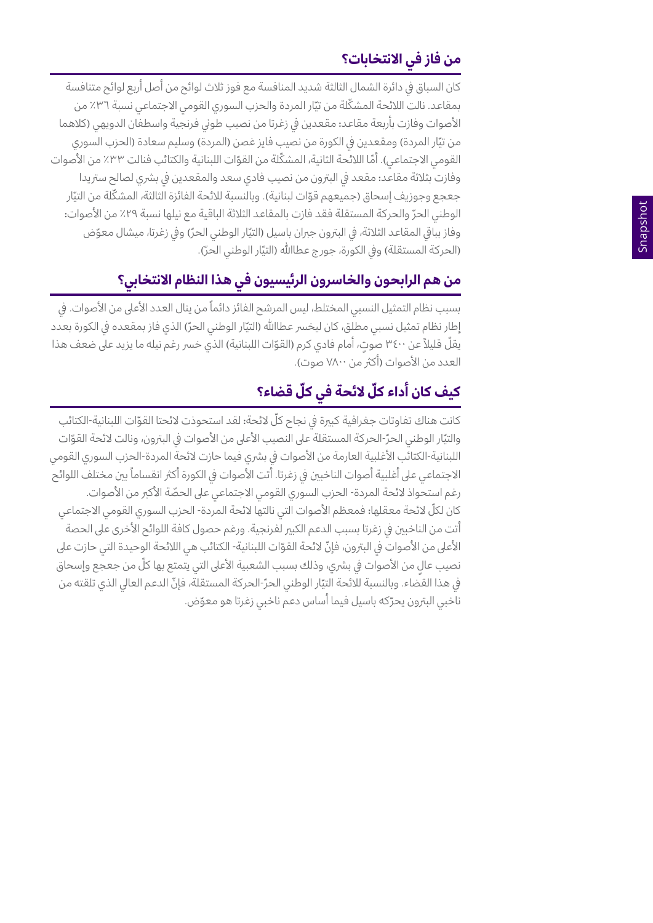# **من فاز في االنتخابات؟**

كان السباق في دائرة الشمال الثالثة شديد المنافسة مع فوز ثلاث لوائح من أصل أربع لوائح متنافسة بمقاعد. نالت اللائحة المشكّلة من تيّار المردة والحزب السوري القومي الاجتماعي نسبة ٣٦٪ من ֧֖֖֖֚֚֚֚֚֝<br>֧֚֝<br>֧֚֝ الأصوات وفازت بأربعة مقاعد**:** مقعدين في زغرتا من نصيب طوني فرنجية واسطفان الدويهي (كلاهما من تيّار المردة) ومقعدين في الكورة من نصيب فايز غصن (المردة) وسليم سعادة (الحزب السوري القومي الاجتماعي). أمّا اللائحة الثانية، المشكّلة من القوّات اللبنانية والكتائب فنالت ٣٣٪ من الأصوات ֧֖֖֖֚֚֚֚֝<br>֧֚֝<br>֧֝ وفازت بثلاثة مقاعد**:** مقعد في البترون من نصيب فادي سعد والمقعدين في بشري لصالح ستريدا جعجع وجوزيف إسحاق (جميعهم قوّات لبنانية). وبالنسبة للائحة الفائزة الثالثة، المشكّلة من التيّار ֧֖֖֖֖֖֧֚֚֚֚֚֚֚֚֚֚֚֚֚֚֚֚֚֚֚֝֝<u>֓</u><br>֧֩֩֩֩ الوطني الحرّ والحركة المستقلة فقد فازت بالمقا*ع*د الثلاثة الباقية مع نيلها نسبة ٢٩٪ من الأصوات**:** ֧֖֚֚֝֟֟֓֝֬ وفاز بباقي المقاعد الثلاثة، في البترون جبران باسيل (التيّار الوطني الحرّ) وفي زغرتا، ميشال معوّض ֧֖֖֖֖֚֚֚֚֚֚֚֚֚֚֚֝֝<br>֧֚֚֝ . (الحركة المستقلة) وفي الكورة، جورج عطاﷲ (التيّار الوطني الحرّ) ֧֦֦֧֦֚֚֞֝֝֝֝֬<br>֧֪֪֪֪֪֪֚֝֝֝֝֝ ֧֦֧֖֖֖֖֖֖֧֚֚֚֚֚֚֝֟֓֕֝֬<u>֚</u><br>֧֩֩֩֘

## **من هم الرابحون والخاسرون الرئيسيون في هذا النظام االنتخابي؟**

بسبب نظام التمثيل النسبي المختلط، ليس المرشح الفائز دائماً من ينال العدد الأعلى من الأصوات. في ً إطار نظام تمثيل نسبي مطلق، كان ليخسر عطاالله (التيّار الوطني الحرّ) الذي فاز بمقعده في الكورة بعدد ֧֖֖֖֖֚֚֚֚֚֚֚֚֚֚֚֝֝<br>֧֚֚֝ ֧֧֖֖֖֖֖֖֖֖֖֧֚֚֚֚֚֚֚֚֚֚֚֝֟֓֓֝֬<u>֟</u><br>֧֧֩֩֩֩֩֓֝֓֝ يقلّ قليلاً عن ٣٤٠٠ صوتٍ، أمام فادي كرم (القوّات اللبنانية) الذي خسر رغم نيله ما يزيد على ضعف هذا . العدد من الأصوات (أكثر من ۷۸۰۰ صوت)

# **ّ كيف كان أداء كل ّ الئحة في كل قضاء؟**

كانت هناك تفاوتات جغرافية كبيرة في نجاح كلّ لائحة**:** لقد استحوذت لائحتا القوّات اللبنانية-الكتائب والتيّار الوطني الحرّ-الحركة المستقلة على النصيب الأعلى من الأصوات في البترون، ونالت لائحة القوّات ֢֖֦֧֚֚<u>֓</u> اللبنانية-الكتائب الأغلبية العارمة من الأصوات في بشري فيما حازت لائحة المردة-الحزب السوري القومي الاجتماعي على أغلبية أصوات الناخبين في زغرتا. أتت الأصوات في الكورة أكثر انقساماً بين مختلف اللوائح ً رغم استحواذ لائحة المردة- الحزب السوري القومي الاجتماعي على الحصّة الأكبر من الأصوات. كان لكلّ لائحة معقلها**:** فمعظم الأصوات التي نالتها لائحة المردة- الحزب السوري القومي الاجتماعي أتت من الناخبين في زغرتا بسبب الدعم الكبير لفرنجية. ورغم حصول كافة اللوائح الأخرى على الحصة الأعلى من الأصوات في البترون، فإنّ لائحة القوّات اللبنانية- الكتائب هي اللائحة الوحيدة التي حازت على نصيب عالٍ من الأصوات في بشري، وذلك بسبب الشعبية الأعلى التي يتمتع بها كلّ من جعجع وإسحاق في هذا القضاء. وبالنسبة للائحة التيّار الوطني الحرّ-الحركة المستقلة، فإنّ الدعم العالي الذي تلقته من ֖֚֚֚֚֡<br>֧֚֚֚֚֚֝֝<br>֧֚֚֝ ناخبي البترون يحرّكه باسيل فيما أساس دعم ناخبي زغرتا هو معوّض. ֦֦֖֖֖֖֖֖֦֦֚֚֚֚֚֚֝֟֘֝֬֝֓֞֟֘<u>֛</u>